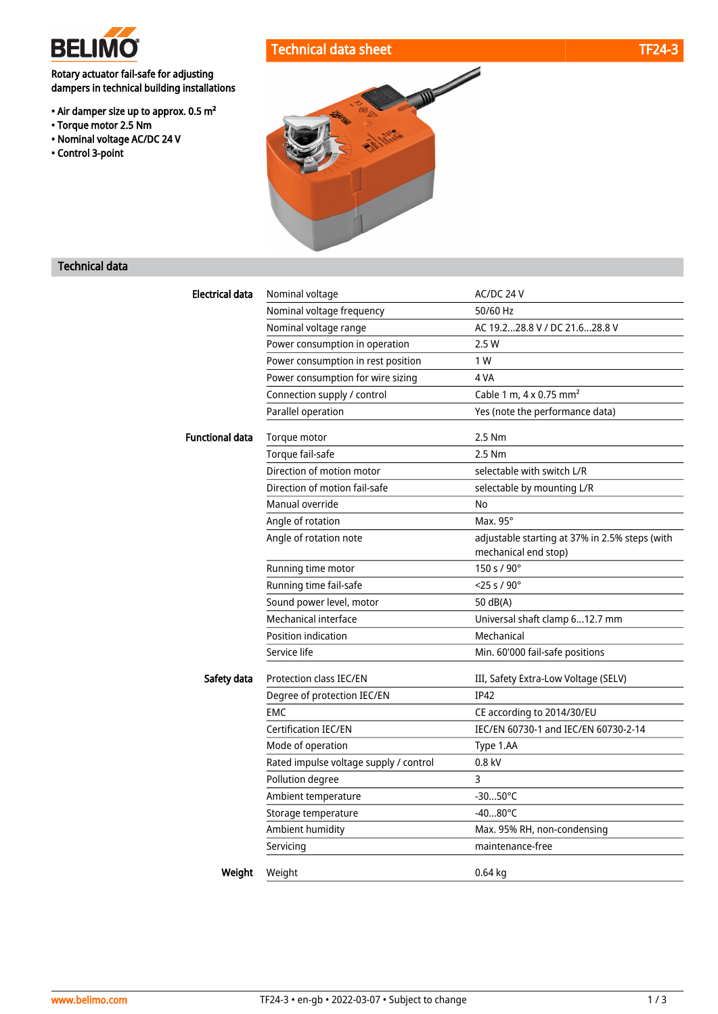

• Torque motor 2.5 Nm • Nominal voltage AC/DC 24 V

• Control 3-point

Rotary actuator fail-safe for adjusting dampers in technical building installations

• Air damper size up to approx. 0.5 m²



## Technical data

| Electrical data        | Nominal voltage                        | AC/DC 24 V                                     |
|------------------------|----------------------------------------|------------------------------------------------|
|                        | Nominal voltage frequency              | 50/60 Hz                                       |
|                        | Nominal voltage range                  | AC 19.228.8 V / DC 21.628.8 V                  |
|                        | Power consumption in operation         | 2.5 W                                          |
|                        | Power consumption in rest position     | 1 W                                            |
|                        | Power consumption for wire sizing      | 4 VA                                           |
|                        | Connection supply / control            | Cable 1 m, 4 x 0.75 mm <sup>2</sup>            |
|                        | Parallel operation                     | Yes (note the performance data)                |
| <b>Functional data</b> | Torque motor                           | 2.5 Nm                                         |
|                        | Torque fail-safe                       | 2.5 Nm                                         |
|                        | Direction of motion motor              | selectable with switch L/R                     |
|                        | Direction of motion fail-safe          | selectable by mounting L/R                     |
|                        | Manual override                        | No                                             |
|                        | Angle of rotation                      | Max. 95°                                       |
|                        | Angle of rotation note                 | adjustable starting at 37% in 2.5% steps (with |
|                        |                                        | mechanical end stop)                           |
|                        | Running time motor                     | 150 s / 90°                                    |
|                        | Running time fail-safe                 | $<$ 25 s / 90 $^{\circ}$                       |
|                        | Sound power level, motor               | 50 dB(A)                                       |
|                        | Mechanical interface                   | Universal shaft clamp 612.7 mm                 |
|                        | Position indication                    | Mechanical                                     |
|                        | Service life                           | Min. 60'000 fail-safe positions                |
| Safety data            | Protection class IEC/EN                | III, Safety Extra-Low Voltage (SELV)           |
|                        | Degree of protection IEC/EN            | <b>IP42</b>                                    |
|                        | <b>EMC</b>                             | CE according to 2014/30/EU                     |
|                        | <b>Certification IEC/EN</b>            | IEC/EN 60730-1 and IEC/EN 60730-2-14           |
|                        | Mode of operation                      | Type 1.AA                                      |
|                        | Rated impulse voltage supply / control | $0.8$ kV                                       |
|                        | Pollution degree                       | 3                                              |
|                        | Ambient temperature                    | $-3050^{\circ}$ C                              |
|                        | Storage temperature                    | $-4080^{\circ}$ C                              |
|                        | Ambient humidity                       | Max. 95% RH, non-condensing                    |
|                        | Servicing                              | maintenance-free                               |
|                        |                                        |                                                |
| Weight                 | Weight                                 | $0.64$ kg                                      |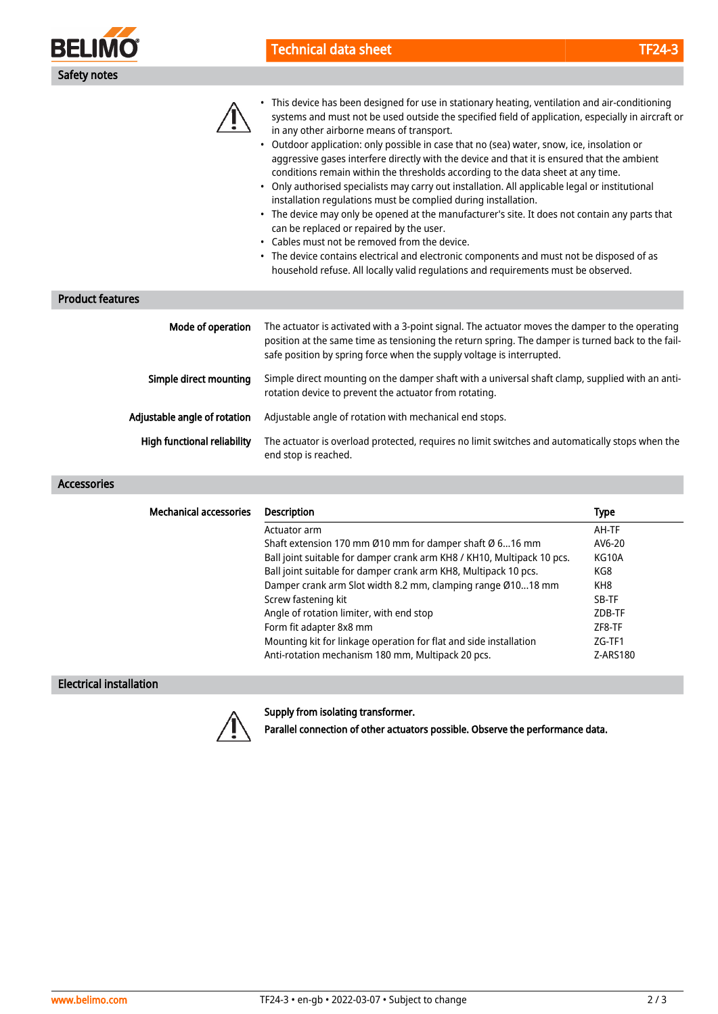



- This device has been designed for use in stationary heating, ventilation and air-conditioning systems and must not be used outside the specified field of application, especially in aircraft or in any other airborne means of transport.
- Outdoor application: only possible in case that no (sea) water, snow, ice, insolation or aggressive gases interfere directly with the device and that it is ensured that the ambient conditions remain within the thresholds according to the data sheet at any time.
- Only authorised specialists may carry out installation. All applicable legal or institutional installation regulations must be complied during installation.
- The device may only be opened at the manufacturer's site. It does not contain any parts that can be replaced or repaired by the user.
- Cables must not be removed from the device.
- The device contains electrical and electronic components and must not be disposed of as household refuse. All locally valid regulations and requirements must be observed.

### Product features

| Mode of operation            | The actuator is activated with a 3-point signal. The actuator moves the damper to the operating<br>position at the same time as tensioning the return spring. The damper is turned back to the fail-<br>safe position by spring force when the supply voltage is interrupted. |
|------------------------------|-------------------------------------------------------------------------------------------------------------------------------------------------------------------------------------------------------------------------------------------------------------------------------|
| Simple direct mounting       | Simple direct mounting on the damper shaft with a universal shaft clamp, supplied with an anti-<br>rotation device to prevent the actuator from rotating.                                                                                                                     |
| Adjustable angle of rotation | Adjustable angle of rotation with mechanical end stops.                                                                                                                                                                                                                       |
| High functional reliability  | The actuator is overload protected, requires no limit switches and automatically stops when the<br>end stop is reached.                                                                                                                                                       |

#### Accessories

| <b>Mechanical accessories</b> | <b>Description</b>                                                     | <b>Type</b>     |
|-------------------------------|------------------------------------------------------------------------|-----------------|
|                               | Actuator arm                                                           | AH-TF           |
|                               | Shaft extension 170 mm Ø10 mm for damper shaft Ø 616 mm                | AV6-20          |
|                               | Ball joint suitable for damper crank arm KH8 / KH10, Multipack 10 pcs. | KG10A           |
|                               | Ball joint suitable for damper crank arm KH8, Multipack 10 pcs.        | KG8             |
|                               | Damper crank arm Slot width 8.2 mm, clamping range Ø1018 mm            | KH <sub>8</sub> |
|                               | Screw fastening kit                                                    | SB-TF           |
|                               | Angle of rotation limiter, with end stop                               | ZDB-TF          |
|                               | Form fit adapter 8x8 mm                                                | ZF8-TF          |
|                               | Mounting kit for linkage operation for flat and side installation      | ZG-TF1          |
|                               | Anti-rotation mechanism 180 mm, Multipack 20 pcs.                      | Z-ARS180        |

### Electrical installation



#### Supply from isolating transformer.

Parallel connection of other actuators possible. Observe the performance data.